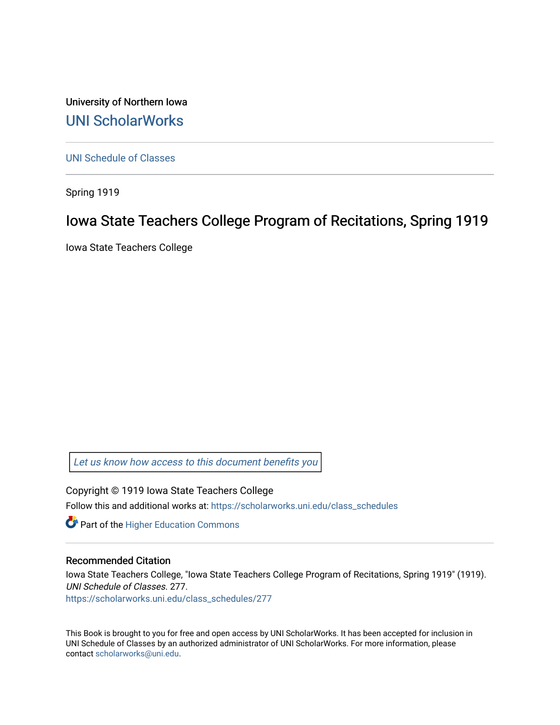University of Northern Iowa [UNI ScholarWorks](https://scholarworks.uni.edu/) 

[UNI Schedule of Classes](https://scholarworks.uni.edu/class_schedules) 

Spring 1919

# Iowa State Teachers College Program of Recitations, Spring 1919

Iowa State Teachers College

[Let us know how access to this document benefits you](https://scholarworks.uni.edu/feedback_form.html) 

Copyright © 1919 Iowa State Teachers College Follow this and additional works at: [https://scholarworks.uni.edu/class\\_schedules](https://scholarworks.uni.edu/class_schedules?utm_source=scholarworks.uni.edu%2Fclass_schedules%2F277&utm_medium=PDF&utm_campaign=PDFCoverPages)

**Part of the Higher Education Commons** 

# Recommended Citation

Iowa State Teachers College, "Iowa State Teachers College Program of Recitations, Spring 1919" (1919). UNI Schedule of Classes. 277. [https://scholarworks.uni.edu/class\\_schedules/277](https://scholarworks.uni.edu/class_schedules/277?utm_source=scholarworks.uni.edu%2Fclass_schedules%2F277&utm_medium=PDF&utm_campaign=PDFCoverPages) 

This Book is brought to you for free and open access by UNI ScholarWorks. It has been accepted for inclusion in UNI Schedule of Classes by an authorized administrator of UNI ScholarWorks. For more information, please contact [scholarworks@uni.edu.](mailto:scholarworks@uni.edu)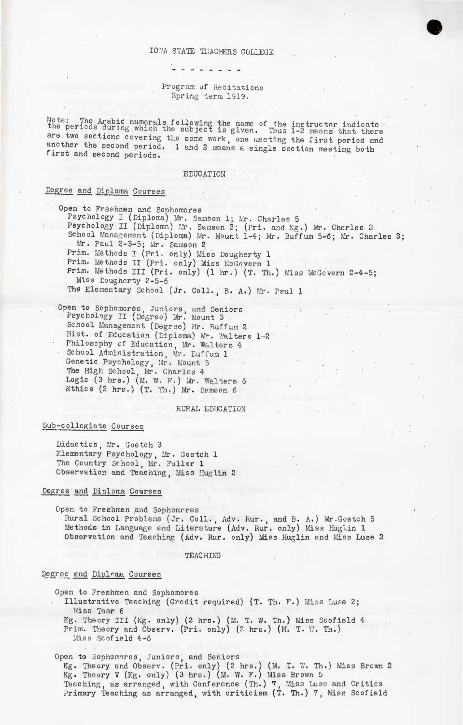### IOWA STATE TEACHERS COLLEGE

- - - - - *-* - -

### Program of Recitations Spring term 1919.

Note: The Arabic numerals following the name of the instructor indicate<br>the periods during which the subject is given. Thus 1-2 means that there are two sections covering the same work, one meeting the first period and another the second period. 1 and 2 means a single section meeting both first and second periods.

### EDUCATION

# Degree and Diploma Courses

Open to Freshmen and Sophomores Psychology I (Diploma) Mr. Samson 1; Mr. Charles 5 Psychology II (Diploma) Mr. Samson 3; (Pri. and Kg.) Mr. Charles 2 School Management (Diploma) Mr. Mount 1-4; Mr. Buffum 5-6; Mr. Charles 3; Mr. Paul 2-3-5; Mr. Samson 2 Prim. Methods I (Pri. only) Miss Dougherty 1 Prim. Methods II (Pri. only) Miss McGovern 1 Prim. Methods III (Pri. only) (1 hr.) (T. Th.) Miss McGovern 2-4-5; Miss Dougherty 2-5-6 The Elementary School (Jr. Coll., B. A.) Mr. Paul 1

Open to Sophomores, Juniors, and Seniors<br>Psychology II (Degree) Mr. Mount 3 School Management (Degree) Mr. Buffum 2 Hist. of Education (Diploma) Mr. Walters 1-2 Philosophy of Education, Mr. Walters 4 School Administration, Mr. Euffum 1 Genetic Psychology, Mr. Mount 5<br>The High School, Mr. Charles 4<br>Logic (3 hrs.) (M. W. F.) Mr. Walters 6 Ethics (2 hrs.) (T. Th.) Mr. Samson 6

### RURAL EDUCATION

### Sub-collegiate Courses

Didacties, Mr. Goetch 3 Elementary Psychology, Mr. Goetch 1 The Country School, Mr. Fuller 1 Observation and Teaching, Miss Huglin 2

# Degree and Diploma Courses

Open to Freshmen and Sophomeres Rural School Problems (Jr. Coll., Adv. Rur., and B. A.) Mr. Goetch 5 Methods in Language and Literature (Adv. Rur. only) Miss Huglin 1 Observation and Teaching (Adv. Rur. only) Miss Huglin and Miss Luse 2

#### **TEACHING**

### Degree and Diplama Courses

Open to Freshmen and Sophomores

Illustrative Teaching (Credit required) (T. Th. F.) Miss Luse 2; Miss Tear 6

Kg. Theory III (Kg. only) (2 hrs.) (M. T. W. Th.) Miss Scofield 4 Prim. Theory and Observ. (Pri. only) (2 hrs.) (M. T. W. Th.) Miss Scofield 4-6

Open to Sophomores, Juniors, and Seniors Kg. Theory and Observ. (Pri. only) (2 hrs.) (M. T. W. Th.) Miss Brown 2 Kg. Theory V (Kg. only) (3 hrs.) (M. W. F.) Miss Brown 5 Teaching, as arranged, with Conference (Th.) 7, Miss Luse and Critics Primary Teaching as arranged, with criticism (T. Th.) 7, Miss Scofield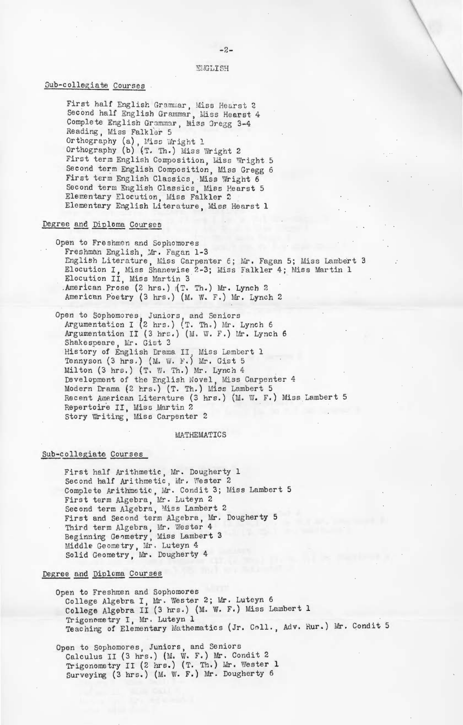#### ENGLISH

# Sub-collegiate Courses

First half English Grammar, Miss Hearst 2<br>Second half English Grammar, Miss Hearst 4 Complete English Grammar, Miss Gregg 3-4 Reading, Miss Falkler 5 Orthography (a), Miss Wright 1<br>Orthography (b) (T. Th.) Miss Wright 2 First term English Composition, Miss Wright 5 Second term English Composition, Miss Gregg 6 First term English Classics, Miss Wright 6 Second term English Classics, Miss Hearst 5 Elementary Elocution, Miss Falkler 2 Elementary English Literature, Miss Hearst 1

### Degree and Diploma Courses

Open to Freshmen and Sophomores Freshman English, Mr. Fagan 1-3 English Literature, Miss Carpenter 6; Mr. Fagan 5; Miss Lambert 3 Elocution I, Miss Shanewise 2-3; Miss Falkler 4; Miss Martin 1 Elocution II, Miss Martin 3 .American Prose (2 hrs.) (T. Th.) Mr. Lynch 2 American Poetry (3 hrs.) (M. W. F.) Mr. Lynch 2

Open to Sophomores, Juniors, and Seniors<br>Argumentation I (2 hrs.) (T. Th.) Mr. Lynch 6 Argumentation II (3 hrs.) (M. W. F.) Mr. Lynch 6 Shakespeare, Mr. Gist 3 History of English Drama II, Miss Lembert 1<br>Tennyson (3 hrs.) (M. W. F.) Mr. Gist 5 Milton (3 hrs.) (T. W. Th.) Mr. Lynch 4 Development of the English Novel. Miss Carpenter 4 Modern Drama (2 hrs.) (T. Th.) Miss Lambert 5 Recent American Literature (3 hrs.) (M. W. F.) Miss Lambert 5 Repertoire II, Miss Martin 2 Story Writing, Miss Carpenter 2

### MATHEMATICS

### Sub-collegiate Courses

First half Arithmetic, Mr. Dougherty 1 Second half Arithmetic, Mr. Wester 2 Complete Arithmetic, Mr. Condit 3; Miss Lambert 5 First term Algebra, Mr. Luteyn 2 Second term Algebra, Miss Lambert 2 First and Second term Algebra, Mr. Dougherty 5<br>Third term Algebra, Mr. Wester 4<br>Beginning Geometry, Miss Lambert 3 Middle Geometry, Mr. Luteyn 4<br>Solid Geometry, Mr. Dougherty 4

### Degree and Diploma Courses

Open to Freshmen and Sophomores College Algebra I, Mr. Wester 2; Mr. Luteyn 6 College Algebra II (3 hrs.) (M. W. F.) Miss Lambert 1 Trigonometry I, Mr. Luteyn 1 Teaching of Elementary Mathematics (Jr. Coll., Adv. Rur.) Mr. Condit 5

Open to Sophomores, Juniors, and Seniors Calculus II (3 hrs.) (M. W. F.) Mr. Condit 2 Trigonometry II (2 hrs.) (T. Th.) Mr. Wester 1 Surveying (3 hrs.) (M. W. F.) Mr. Dougherty 6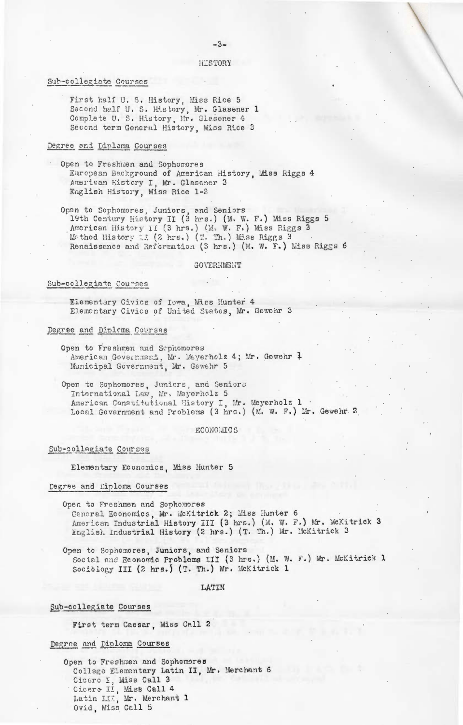HISTORY

 $-3-$ 

### Sub-collegiate Courses

First half U. S. History. Miss Rice 5 Second half U. S. History, Mr. Glasener 1 Complete U. S. History, Mr. Glasener 4 Second term General History, Miss Rice 3

### Degree and Diploma Courses

Open to Freshmen and Sophomores European Background of American History, Miss Riggs 4 American History I. Mr. Glasener 3 English History, Miss Rice 1-2

Open to Sophomores, Juniors, and Seniors<br>19th Century History II (3 hrs.) (M. W. F.) Miss Riggs 5 American History II (3 hrs.) (M. W. F.) Miss Riggs 3 Method History II (2 hrs.) (T. Th.) Miss Riggs 3 Renaissance and Reformation (3 hrs.) (M. W. F.) Miss Riggs 6

#### GOVERNMENT

# Sub-collegiate Courses

Elementary Civics of Iowa, Miss Hunter 4 Elementary Civics of United States. Mr. Gewehr 3

### Degree and Diploma Courses

Open to Freshmen and Sephomores American Government, Mr. Weyerholz 4; Mr. Gewehr 7 Municipal Government, Mr. Gewehr 5

Open to Sophomores, Juniors, and Seniors International Law. Mr. Meyerholz 5 American Constitutional History I, Mr. Meyerholz 1 . Local Government and Problems (3 hrs.) (M. W. F.) Mr. Gewehr 2

#### ECONOMICS

### Sub-collegiate Courses

Elementary Economics, Miss Hunter 5

### Degree and Diploma Courses

Open to Freshmen and Sophomores Ceneral Economics, Mr. McKitrick 2; Miss Hunter 6 American Industrial History III (3 hrs.) (M. W. F.) Mr. WcKitrick 3 English Industrial History (2 hrs.) (T. Th.) Mr. McKitrick 3

Open to Sophomores, Juniors, and Seniors Social and Economic Problems III (3 hrs.) (M. W. F.) Mr. McKitrick 1 Socialogy III (2 hrs.) (T. Th.) Mr. McKitrick 1

LATIN

### Sub-collegiate Courses

First term Caesar, Miss Call 2

# Degree and Diploma Courses

Open to Freshmen and Sophomores College Elementary Latin II, Mr. Merchant 6 Cicero I, Miss Call 3 Cicero II, Miss Call 4 Latin III, Mr. Merchant 1 Ovid. Miss Call 5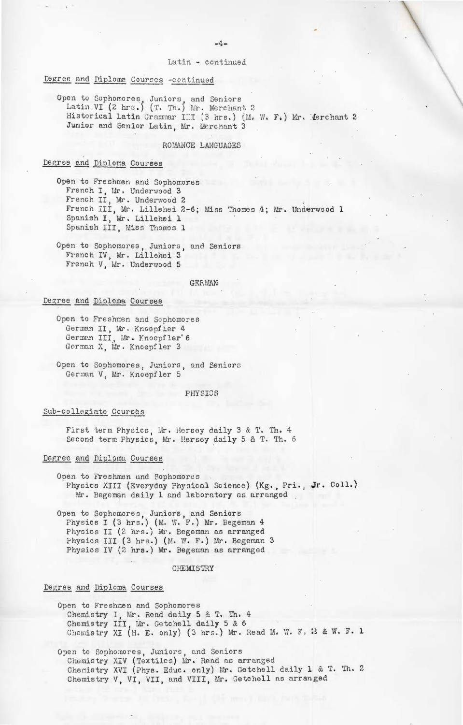### Latin - continued

### Degree and Diploma Courses -continued

Open to Sophomores, Juniors, and Seniors<br>Latin VI (2 hrs.) (T. Th.) Mr. Merchant 2 Historical Latin Grammar III (3 hrs.) (M. W. F.) Mr. Merchant 2 Junior and Senior Latin, Mr. Merchant 3

### ROMANCE LANGUAGES

# Degree and Diploma Courses

Open to Freshmen and Sophomores French I, Mr. Underwood 3 French II, Mr. Underwood 2 French III, Mr. Lillehei 2-6; Miss Thomes 4; Mr. Underwood 1 Spanish I, Mr. Lillehei 1 Spanish III, Miss Thomes 1

Open to Sophomores, Juniors, and Seniors<br>French IV, Mr. Lillehei 3 French V, Mr. Underwood 5

#### GERMAN

# Degree and Diploma Courses

Open to Freshmen and Sophomores German II, Mr. Knoepfler 4 German III, Mr. Knoepfler'6<br>German X, Mr. Knoepfler 3

Open to Sophomores, Juniors, and Seniors German V. Mr. Knoepfler 5

#### PHYSICS

### Sub-collegiate Courses

First term Physics, Mr. Hersey daily 3 & T. Th. 4 Second term Physics, Mr. Hersey daily 5 & T. Th. 6

### Degree and Diploma Courses

Open to Freshmen and Sophomores Physics XIII (Everyday Physical Science) (Kg., Pri., Jr. Coll.) Mr. Begeman daily 1 and laboratory as arranged

Open to Sophomores, Juniors, and Seniors<br>
Physics I (3 hrs.) (M. W. F.) Mr. Begeman 4<br>
Physics II (2 hrs.) Mr. Begeman as arranged<br>
Physics III (3 hrs.) (M. W. F.) Mr. Begeman 3<br>
Physics IV (2 hrs.) Mr. Begeman as arranged

#### CHEMISTRY

### Degree and Diploma Courses

Open to Freshmen and Sophomores Chemistry I, Mr. Read daily 5 & T. Th. 4<br>Chemistry III, Mr. Getchell daily 5 & 6<br>Chemistry XI (H. E. only) (3 hrs.) Mr. Read M. W. F. 23 & W. F. 1

Open to Sophomores, Juniors, and Seniors Chemistry XIV (Textiles) Mr. Read as arranged Chemistry XVI (Phys. Educ. only) Mr. Getchell daily 1 & T. Th. 2 Chemistry V, VI, VII, and VIII, Mr. Getchell as arranged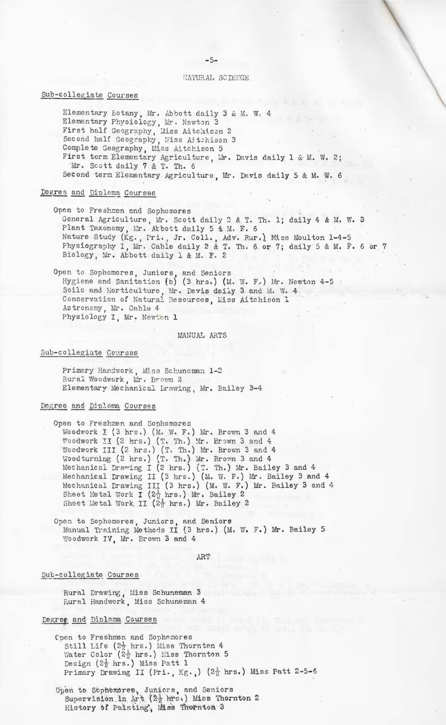$-5-$ 

### HATURAL SCIENCE

# Sub-collegiate Courses

Elementary Botany, Mr. Abbott daily 3 & M. W. 4 Elementary Physiology, Mr. Newton 3<br>First half Geography, Miss Aitchison 2 Second half Geography, Miss Aitchison 3<br>Complete Geography, Miss Aitchison 5 First term Elementary Agriculture, Mr. Davis daily 1 & M. W. 2; Mr. Scott daily 7 & T. Th. 6 Second term Elementary Agriculture, Mr. Davis daily 5 & M. W. 6

### Degree and Diploma Courses

Open to Freshmen and Sophomores General Agriculture, Mr. Scott daily 2 & T. Th. 1; daily 4 & M. W. 3 Plant Taxonomy, Mr. Abbott daily 5 & M. F. 6 Nature Study (Kg., Pri., Jr. Coll., Adv. Rur.) Miss Moulton 1-4-5<br>Physiography I, Mr. Cable daily 2 & T. Th. 6 or 7; daily 5 & M. F. 6 or 7 Biology, Mr. Abbott daily 1 & M. F. 2

Open to Sophomores, Juniors, and Seniors Hygiene and Sanitation (b) (3 hrs.) (M. W. F.) Mr. Newton 4-5 : Soils and Horticulture, Mr. Davis daily 3 and M. W. 4 Conservation of Natural Resources, Miss Aitchison 1 Astronomy, Mr. Cable 4 Physiology I, Mr. Newton 1

MANUAL ARTS

### Sub-collegiate Courses

Primary Handwork, Miss Schuneman 1-2 Rural Woodwork, Mr. Brown 2 Elementary Mechanical Lrawing, Mr. Bailey 3-4

### Dogree and Diploma Courses

Open to Freshmen and Sophomores Woodwork I (3 hrs.) (M. W. F.) Mr. Brown 3 and 4 Woodwork II (2 hrs.) (T. Th.) Mr. Brown 3 and 4 Woodwork III (2 hrs.) (T. Th.) Mr. Brown 3 and 4<br>Woodturning (2 hrs.) (T. Th.) Mr. Brown 3 and 4<br>Mechanical Drawing I (2 hrs.) (T. Th.) Mr. Bailey 3 and 4 Mechanical Drawing II (3 hrs.) (M. W. F.) Mr. Bailey 3 and 4 Mechanical Drawing III (3 hrs.) (M. W. F.) Mr. Bailey 3 and 4 Sheet Metal Work I (2<sup>1</sup>/<sub>2</sub> hrs.) Mr. Bailey 2 Sheet Metal Work II  $(2\frac{1}{2} \text{ hrs.})$  Mr. Bailey 2

Open to Sophomores, Juniors, and Seniors<br>Manual Training Methods II (3 hrs.) (M. W. F.) Mr. Bailey 5 Woodwork IV. Mr. Brown 3 and 4

ART

### Sub-collegiate Courses

Rural Drawing, Miss Schuneman 3 Rural Handwork, Miss Schuneman 4

# Degree and Diploma Courses

- Cpen to Freshmen and Sophomores Still Life  $(2\frac{1}{2}$  hrs.) Miss Thornton 4 Water Color  $(2\frac{1}{2} \text{ hrs.})$  Miss Thornton 5 Design  $(2\frac{1}{2}$  hrs.) Miss Patt 1 Primary Drawing II (Pri., Kg.,)  $(2\frac{1}{2} \text{ hrs.})$  Miss Patt 2-5-6
- Open to Sophomores, Juniors, and Seniors<br>Supervision in Art  $(2\frac{1}{2})$  hrs.) Miss Thornton 2 History of Painting, Miss Thornton 3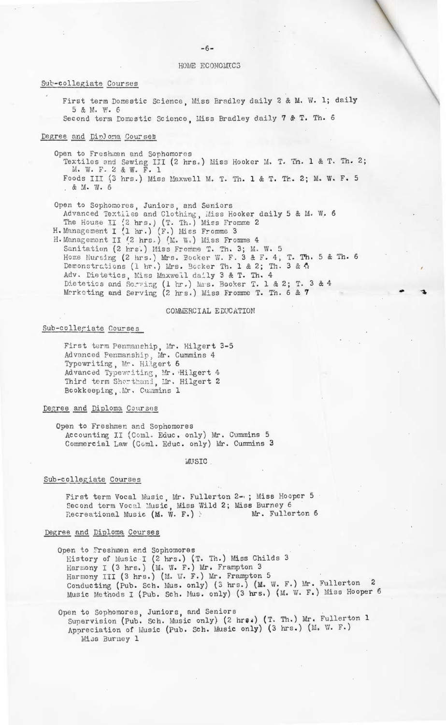HOME ECONOMICS

### Sub-collegiate Courses

First term Domestic Science. Miss Bradley daily 2 & M. W. 1; daily 5 & M. W. 6

Second term Domestic Science. Miss Bradley daily 7 & T. Th. 6

### Degree and Diploma Courses

. & M. W. 6

Open to Freshmen and Sophomores

Textiles and Sewing III (2 hrs.) Miss Hooker M. T. Th. 1 & T. Th. 2;<br>M. W. F. 2 & W. F. 1 Foods III (3 hrs.) Miss Maxwell M. T. Th. 1 & T. Th. 2; M. W. F. 5

Open to Sophomores, Juniors, and Seniors Advanced Textiles and Clothing, Miss Hooker daily 5 & M. W. 6<br>The House II (2 hrs.) (T. Th.) Miss Fromme 2<br>H. Management I (1 hr.) (F.) Miss Fromme 3<br>H. Management II (2 hrs.) (M. W.) Miss Fromme 4

Sanitation (2 hrs.) Miss Fromme T. Th. 3; M. W. 5 Home Nursing (2 hrs.) Mrs. Bocker W. F. 3 & F. 4, T. Th. 5 & Th. 6 Demonstrations (1 br.) Mrs. Bocker Th. 1 & 2; Th. 3 & 4 Adv. Dietetics, Miss Maxwell daily 3 & T. Th. 4<br>Dietetics and Sorving (1 hr.) Mrs. Booker T. 1 & 2; T. 3 & 4<br>Merketing and Serving (2 hrs.) Miss Fromme T. Th. 6 & 7

### COMMERCIAL EDUCATION

### Sub-collegiate Courses

First term Penmanship, Mr. Hilgert 3-5 Advanced Penmanship, Mr. Cummins 4 Typewriting, Mr. Hilgert 6 Advanced Typewriting, Mr. Hilgert 4 Third term Shorthand, Mr. Hilgert 2 Bookkeeping, Mr. Cummins 1

# Degree and Diploma Courses

Open to Freshmen and Sophomores Accounting II (Coml. Educ. only) Mr. Cummins 5 Commercial Law (Coml. Educ. only) Mr. Cummins 3

### MUSIC.

### Sub-collegiate Courses

First term Vocal Music, Mr. Fullerton 2-0; Miss Hooper 5 Second term Vocal Music, Miss Wild 2; Miss Burney 6<br>Recreational Music (M. W. F.) Mr. Fuller Mr. Fullerton 6

### Degree and Diploma Courses

Open to Freshmen and Sophomores History of Music I (2 hrs.) (T. Th.) Miss Childs 3<br>Harmony I (3 hrs.) (M. W. F.) Mr. Frampton 3 Harmony III (3 hrs.) (M. W. F.) Mr. Frampton 5 Conducting (Pub. Sch. Mus. only) (3 hrs.) (M. W. F.) Mr. Fullerton 2 Music Methods I (Pub. Sch. Mus. only) (3 hrs.) (M. W. F.) Miss Hooper 6

Open to Sophomores, Juniors, and Seniors Supervision (Pub. Sch. Music only) (2 hrs.) (T. Th.) Mr. Fullerton 1 Appreciation of Music (Pub. Sch. Music only) (3 hrs.) (M. W. F.) Miss Burney 1